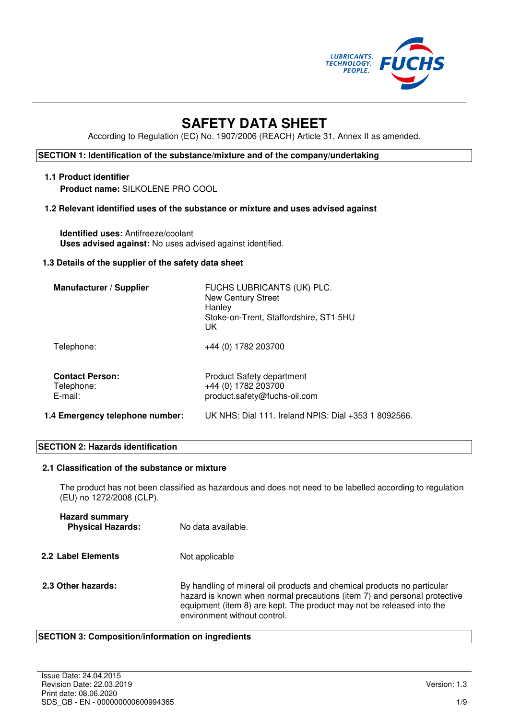

# **SAFETY DATA SHEET**

According to Regulation (EC) No. 1907/2006 (REACH) Article 31, Annex II as amended.

# **SECTION 1: Identification of the substance/mixture and of the company/undertaking**

### **1.1 Product identifier Product name:** SILKOLENE PRO COOL

# **1.2 Relevant identified uses of the substance or mixture and uses advised against**

**Identified uses:** Antifreeze/coolant **Uses advised against:** No uses advised against identified.

#### **1.3 Details of the supplier of the safety data sheet**

| Manufacturer / Supplier                            | FUCHS LUBRICANTS (UK) PLC.<br><b>New Century Street</b><br>Hanley<br>Stoke-on-Trent, Staffordshire, ST1 5HU<br>UK |
|----------------------------------------------------|-------------------------------------------------------------------------------------------------------------------|
| Telephone:                                         | +44 (0) 1782 203700                                                                                               |
| <b>Contact Person:</b><br>Telephone:<br>$E$ -mail: | <b>Product Safety department</b><br>+44 (0) 1782 203700<br>product.safety@fuchs-oil.com                           |
| 1.4 Emergency telephone number:                    | UK NHS: Dial 111. Ireland NPIS: Dial +353 1 8092566.                                                              |

### **SECTION 2: Hazards identification**

#### **2.1 Classification of the substance or mixture**

The product has not been classified as hazardous and does not need to be labelled according to regulation (EU) no 1272/2008 (CLP).

| <b>Hazard summary</b><br><b>Physical Hazards:</b> | No data available.                                                                                                                                                                                                                                           |
|---------------------------------------------------|--------------------------------------------------------------------------------------------------------------------------------------------------------------------------------------------------------------------------------------------------------------|
| 2.2 Label Elements                                | Not applicable                                                                                                                                                                                                                                               |
| 2.3 Other hazards:                                | By handling of mineral oil products and chemical products no particular<br>hazard is known when normal precautions (item 7) and personal protective<br>equipment (item 8) are kept. The product may not be released into the<br>environment without control. |

#### **SECTION 3: Composition/information on ingredients**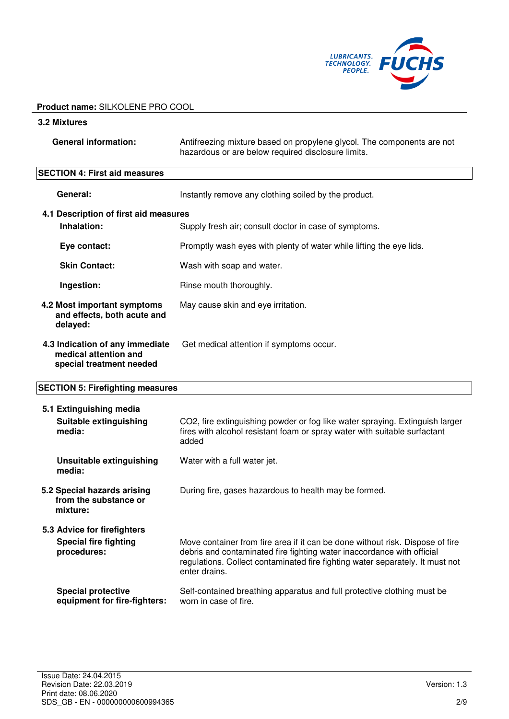

#### **3.2 Mixtures**

| <b>General information:</b> | Antifreezing mixture based on propylene glycol. The components are not<br>hazardous or are below required disclosure limits. |
|-----------------------------|------------------------------------------------------------------------------------------------------------------------------|
|                             |                                                                                                                              |

# **SECTION 4: First aid measures**

|                                                   | General:                                                                             | Instantly remove any clothing soiled by the product.                                                                                                                                                                                                      |
|---------------------------------------------------|--------------------------------------------------------------------------------------|-----------------------------------------------------------------------------------------------------------------------------------------------------------------------------------------------------------------------------------------------------------|
|                                                   | 4.1 Description of first aid measures                                                |                                                                                                                                                                                                                                                           |
|                                                   | Inhalation:                                                                          | Supply fresh air; consult doctor in case of symptoms.                                                                                                                                                                                                     |
|                                                   | Eye contact:                                                                         | Promptly wash eyes with plenty of water while lifting the eye lids.                                                                                                                                                                                       |
| <b>Skin Contact:</b><br>Wash with soap and water. |                                                                                      |                                                                                                                                                                                                                                                           |
|                                                   | Ingestion:                                                                           | Rinse mouth thoroughly.                                                                                                                                                                                                                                   |
|                                                   | 4.2 Most important symptoms<br>and effects, both acute and<br>delayed:               | May cause skin and eye irritation.                                                                                                                                                                                                                        |
|                                                   | 4.3 Indication of any immediate<br>medical attention and<br>special treatment needed | Get medical attention if symptoms occur.                                                                                                                                                                                                                  |
| <b>SECTION 5: Firefighting measures</b>           |                                                                                      |                                                                                                                                                                                                                                                           |
|                                                   | 5.1 Extinguishing media                                                              |                                                                                                                                                                                                                                                           |
|                                                   | Suitable extinguishing<br>media:                                                     | CO2, fire extinguishing powder or fog like water spraying. Extinguish larger<br>fires with alcohol resistant foam or spray water with suitable surfactant<br>added                                                                                        |
|                                                   | <b>Unsuitable extinguishing</b><br>media:                                            | Water with a full water jet.                                                                                                                                                                                                                              |
|                                                   | 5.2 Special hazards arising<br>from the substance or<br>mixture:                     | During fire, gases hazardous to health may be formed.                                                                                                                                                                                                     |
|                                                   | 5.3 Advice for firefighters                                                          |                                                                                                                                                                                                                                                           |
|                                                   | <b>Special fire fighting</b><br>procedures:                                          | Move container from fire area if it can be done without risk. Dispose of fire<br>debris and contaminated fire fighting water inaccordance with official<br>regulations. Collect contaminated fire fighting water separately. It must not<br>enter drains. |
|                                                   | <b>Special protective</b><br>equipment for fire-fighters:                            | Self-contained breathing apparatus and full protective clothing must be<br>worn in case of fire.                                                                                                                                                          |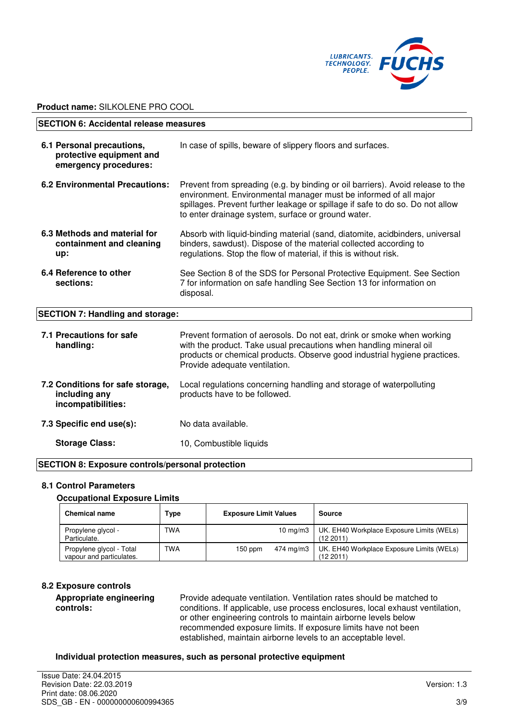

| <b>SECTION 6: Accidental release measures</b>                                  |                                                                                                                                                                                                                                                                                           |
|--------------------------------------------------------------------------------|-------------------------------------------------------------------------------------------------------------------------------------------------------------------------------------------------------------------------------------------------------------------------------------------|
| 6.1 Personal precautions,<br>protective equipment and<br>emergency procedures: | In case of spills, beware of slippery floors and surfaces.                                                                                                                                                                                                                                |
| <b>6.2 Environmental Precautions:</b>                                          | Prevent from spreading (e.g. by binding or oil barriers). Avoid release to the<br>environment. Environmental manager must be informed of all major<br>spillages. Prevent further leakage or spillage if safe to do so. Do not allow<br>to enter drainage system, surface or ground water. |
| 6.3 Methods and material for<br>containment and cleaning<br>up:                | Absorb with liquid-binding material (sand, diatomite, acidbinders, universal<br>binders, sawdust). Dispose of the material collected according to<br>regulations. Stop the flow of material, if this is without risk.                                                                     |
| 6.4 Reference to other<br>sections:                                            | See Section 8 of the SDS for Personal Protective Equipment. See Section<br>7 for information on safe handling See Section 13 for information on<br>disposal.                                                                                                                              |
| <b>SECTION 7: Handling and storage:</b>                                        |                                                                                                                                                                                                                                                                                           |
| 7.1 Precautions for safe<br>handling:                                          | Prevent formation of aerosols. Do not eat, drink or smoke when working<br>with the product. Take usual precautions when handling mineral oil<br>products or chemical products. Observe good industrial hygiene practices.                                                                 |

| including any<br>incompatibilities: | products have to be followed. |
|-------------------------------------|-------------------------------|
| 7.3 Specific end use(s):            | No data available.            |
| <b>Storage Class:</b>               | 10, Combustible liquids       |

Provide adequate ventilation.

#### **SECTION 8: Exposure controls/personal protection**

#### **8.1 Control Parameters**

#### **Occupational Exposure Limits**

**7.2 Conditions for safe storage,** 

| <b>Chemical name</b>                                 | Type | <b>Exposure Limit Values</b> | Source                                                |
|------------------------------------------------------|------|------------------------------|-------------------------------------------------------|
| Propylene glycol -<br>Particulate.                   | TWA  | 10 $mq/m3$                   | UK. EH40 Workplace Exposure Limits (WELs)<br>(122011) |
| Propylene glycol - Total<br>vapour and particulates. | TWA  | 474 mg/m3<br>$150$ ppm       | UK. EH40 Workplace Exposure Limits (WELs)<br>(122011) |

# **8.2 Exposure controls**

**Appropriate engineering controls:** 

Provide adequate ventilation. Ventilation rates should be matched to conditions. If applicable, use process enclosures, local exhaust ventilation, or other engineering controls to maintain airborne levels below recommended exposure limits. If exposure limits have not been established, maintain airborne levels to an acceptable level.

Local regulations concerning handling and storage of waterpolluting

#### **Individual protection measures, such as personal protective equipment**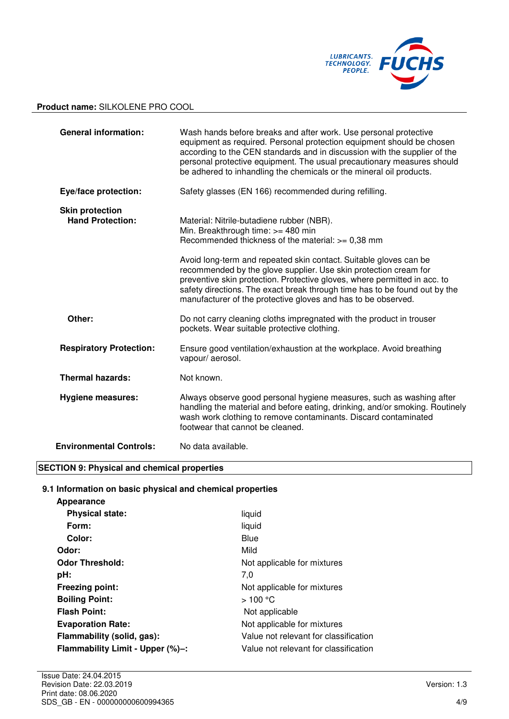

| <b>General information:</b>                       | Wash hands before breaks and after work. Use personal protective<br>equipment as required. Personal protection equipment should be chosen<br>according to the CEN standards and in discussion with the supplier of the<br>personal protective equipment. The usual precautionary measures should<br>be adhered to inhandling the chemicals or the mineral oil products.                                                                                                                                   |
|---------------------------------------------------|-----------------------------------------------------------------------------------------------------------------------------------------------------------------------------------------------------------------------------------------------------------------------------------------------------------------------------------------------------------------------------------------------------------------------------------------------------------------------------------------------------------|
| Eye/face protection:                              | Safety glasses (EN 166) recommended during refilling.                                                                                                                                                                                                                                                                                                                                                                                                                                                     |
| <b>Skin protection</b><br><b>Hand Protection:</b> | Material: Nitrile-butadiene rubber (NBR).<br>Min. Breakthrough time: >= 480 min<br>Recommended thickness of the material: >= 0,38 mm<br>Avoid long-term and repeated skin contact. Suitable gloves can be<br>recommended by the glove supplier. Use skin protection cream for<br>preventive skin protection. Protective gloves, where permitted in acc. to<br>safety directions. The exact break through time has to be found out by the<br>manufacturer of the protective gloves and has to be observed. |
| Other:                                            | Do not carry cleaning cloths impregnated with the product in trouser<br>pockets. Wear suitable protective clothing.                                                                                                                                                                                                                                                                                                                                                                                       |
| <b>Respiratory Protection:</b>                    | Ensure good ventilation/exhaustion at the workplace. Avoid breathing<br>vapour/aerosol.                                                                                                                                                                                                                                                                                                                                                                                                                   |
| <b>Thermal hazards:</b>                           | Not known.                                                                                                                                                                                                                                                                                                                                                                                                                                                                                                |
| <b>Hygiene measures:</b>                          | Always observe good personal hygiene measures, such as washing after<br>handling the material and before eating, drinking, and/or smoking. Routinely<br>wash work clothing to remove contaminants. Discard contaminated<br>footwear that cannot be cleaned.                                                                                                                                                                                                                                               |
| <b>Environmental Controls:</b>                    | No data available.                                                                                                                                                                                                                                                                                                                                                                                                                                                                                        |

# **SECTION 9: Physical and chemical properties**

# **9.1 Information on basic physical and chemical properties**

| liquid                                |
|---------------------------------------|
| liquid                                |
| Blue                                  |
| Mild                                  |
| Not applicable for mixtures           |
| 7,0                                   |
| Not applicable for mixtures           |
| >100 °C                               |
| Not applicable                        |
| Not applicable for mixtures           |
| Value not relevant for classification |
| Value not relevant for classification |
|                                       |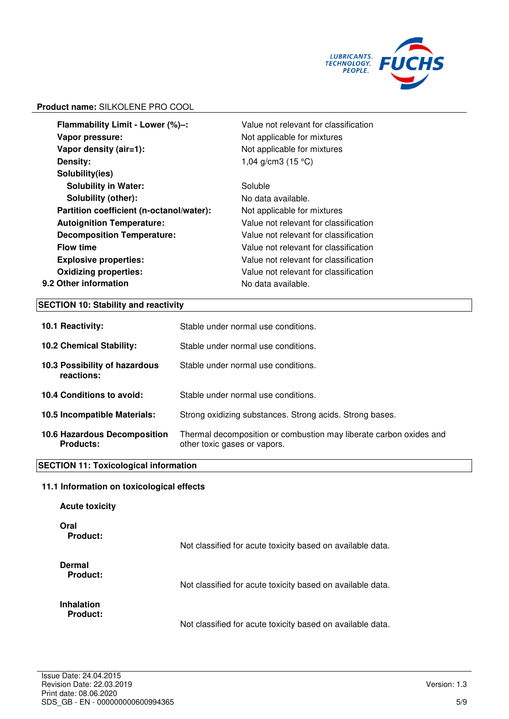

| Vapor pressure:<br>Not applicable for mixtures<br>Vapor density (air=1):<br>Not applicable for mixtures<br>Density:<br>1,04 g/cm3 $(15 °C)$<br>Solubility(ies)<br><b>Solubility in Water:</b><br>Soluble<br>Solubility (other):<br>No data available.<br>Partition coefficient (n-octanol/water):<br>Not applicable for mixtures<br><b>Autoignition Temperature:</b><br>Value not relevant for classification<br><b>Decomposition Temperature:</b><br>Value not relevant for classification<br><b>Flow time</b><br>Value not relevant for classification<br><b>Explosive properties:</b><br>Value not relevant for classification<br><b>Oxidizing properties:</b><br>Value not relevant for classification<br>No data available. | Flammability Limit - Lower (%)-: | Value not relevant for classification |
|----------------------------------------------------------------------------------------------------------------------------------------------------------------------------------------------------------------------------------------------------------------------------------------------------------------------------------------------------------------------------------------------------------------------------------------------------------------------------------------------------------------------------------------------------------------------------------------------------------------------------------------------------------------------------------------------------------------------------------|----------------------------------|---------------------------------------|
|                                                                                                                                                                                                                                                                                                                                                                                                                                                                                                                                                                                                                                                                                                                                  |                                  |                                       |
|                                                                                                                                                                                                                                                                                                                                                                                                                                                                                                                                                                                                                                                                                                                                  |                                  |                                       |
|                                                                                                                                                                                                                                                                                                                                                                                                                                                                                                                                                                                                                                                                                                                                  |                                  |                                       |
|                                                                                                                                                                                                                                                                                                                                                                                                                                                                                                                                                                                                                                                                                                                                  |                                  |                                       |
|                                                                                                                                                                                                                                                                                                                                                                                                                                                                                                                                                                                                                                                                                                                                  |                                  |                                       |
|                                                                                                                                                                                                                                                                                                                                                                                                                                                                                                                                                                                                                                                                                                                                  |                                  |                                       |
|                                                                                                                                                                                                                                                                                                                                                                                                                                                                                                                                                                                                                                                                                                                                  |                                  |                                       |
|                                                                                                                                                                                                                                                                                                                                                                                                                                                                                                                                                                                                                                                                                                                                  |                                  |                                       |
|                                                                                                                                                                                                                                                                                                                                                                                                                                                                                                                                                                                                                                                                                                                                  |                                  |                                       |
|                                                                                                                                                                                                                                                                                                                                                                                                                                                                                                                                                                                                                                                                                                                                  |                                  |                                       |
|                                                                                                                                                                                                                                                                                                                                                                                                                                                                                                                                                                                                                                                                                                                                  |                                  |                                       |
|                                                                                                                                                                                                                                                                                                                                                                                                                                                                                                                                                                                                                                                                                                                                  |                                  |                                       |
|                                                                                                                                                                                                                                                                                                                                                                                                                                                                                                                                                                                                                                                                                                                                  | 9.2 Other information            |                                       |

# **SECTION 10: Stability and reactivity**

| 10.1 Reactivity:                                 | Stable under normal use conditions.                                                                |
|--------------------------------------------------|----------------------------------------------------------------------------------------------------|
| <b>10.2 Chemical Stability:</b>                  | Stable under normal use conditions.                                                                |
| 10.3 Possibility of hazardous<br>reactions:      | Stable under normal use conditions.                                                                |
| 10.4 Conditions to avoid:                        | Stable under normal use conditions.                                                                |
| 10.5 Incompatible Materials:                     | Strong oxidizing substances. Strong acids. Strong bases.                                           |
| 10.6 Hazardous Decomposition<br><b>Products:</b> | Thermal decomposition or combustion may liberate carbon oxides and<br>other toxic gases or vapors. |

# **SECTION 11: Toxicological information**

# **11.1 Information on toxicological effects**

| <b>Acute toxicity</b>            |                                                            |
|----------------------------------|------------------------------------------------------------|
| Oral<br>Product:                 | Not classified for acute toxicity based on available data. |
| Dermal<br>Product:<br>Inhalation | Not classified for acute toxicity based on available data. |
| <b>Product:</b>                  | Not classified for acute toxicity based on available data. |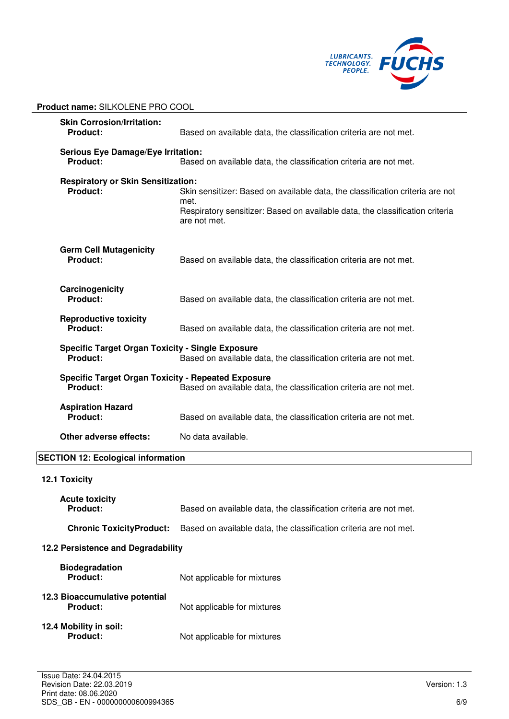

| <b>Skin Corrosion/Irritation:</b><br>Product:                | Based on available data, the classification criteria are not met.                                                                                                                     |  |  |  |
|--------------------------------------------------------------|---------------------------------------------------------------------------------------------------------------------------------------------------------------------------------------|--|--|--|
| <b>Product:</b>                                              | <b>Serious Eye Damage/Eye Irritation:</b><br>Based on available data, the classification criteria are not met.                                                                        |  |  |  |
| <b>Respiratory or Skin Sensitization:</b><br><b>Product:</b> | Skin sensitizer: Based on available data, the classification criteria are not<br>met.<br>Respiratory sensitizer: Based on available data, the classification criteria<br>are not met. |  |  |  |
| <b>Germ Cell Mutagenicity</b><br><b>Product:</b>             | Based on available data, the classification criteria are not met.                                                                                                                     |  |  |  |
| Carcinogenicity<br><b>Product:</b>                           | Based on available data, the classification criteria are not met.                                                                                                                     |  |  |  |
| <b>Reproductive toxicity</b><br><b>Product:</b>              | Based on available data, the classification criteria are not met.                                                                                                                     |  |  |  |
| <b>Product:</b>                                              | <b>Specific Target Organ Toxicity - Single Exposure</b><br>Based on available data, the classification criteria are not met.                                                          |  |  |  |
| <b>Product:</b>                                              | <b>Specific Target Organ Toxicity - Repeated Exposure</b><br>Based on available data, the classification criteria are not met.                                                        |  |  |  |
| <b>Aspiration Hazard</b><br>Product:                         | Based on available data, the classification criteria are not met.                                                                                                                     |  |  |  |
| Other adverse effects:                                       | No data available.                                                                                                                                                                    |  |  |  |
| <b>SECTION 12: Ecological information</b>                    |                                                                                                                                                                                       |  |  |  |
| 12.1 Toxicity                                                |                                                                                                                                                                                       |  |  |  |
| <b>Acute toxicity</b><br><b>Product:</b>                     | Based on available data, the classification criteria are not met.                                                                                                                     |  |  |  |
| <b>Chronic ToxicityProduct:</b>                              | Based on available data, the classification criteria are not met.                                                                                                                     |  |  |  |
| 12.2 Persistence and Degradability                           |                                                                                                                                                                                       |  |  |  |
| <b>Biodegradation</b><br><b>Product:</b>                     | Not applicable for mixtures                                                                                                                                                           |  |  |  |
| 12.3 Bioaccumulative potential<br>Product:                   | Not applicable for mixtures                                                                                                                                                           |  |  |  |
| 12.4 Mobility in soil:<br><b>Product:</b>                    | Not applicable for mixtures                                                                                                                                                           |  |  |  |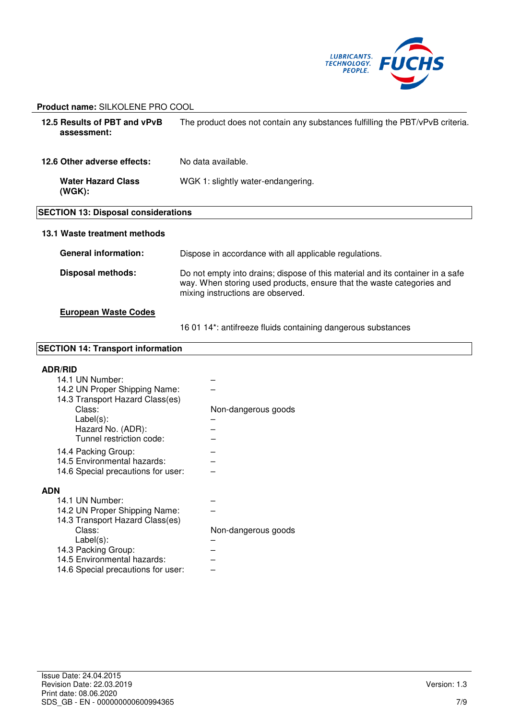

| 12.5 Results of PBT and vPvB<br>assessment: | The product does not contain any substances fulfilling the PBT/vPvB criteria.                                                                                                                |  |  |  |
|---------------------------------------------|----------------------------------------------------------------------------------------------------------------------------------------------------------------------------------------------|--|--|--|
| 12.6 Other adverse effects:                 | No data available.                                                                                                                                                                           |  |  |  |
| <b>Water Hazard Class</b><br>(WGK):         | WGK 1: slightly water-endangering.                                                                                                                                                           |  |  |  |
| <b>SECTION 13: Disposal considerations</b>  |                                                                                                                                                                                              |  |  |  |
| 13.1 Waste treatment methods                |                                                                                                                                                                                              |  |  |  |
| <b>General information:</b>                 | Dispose in accordance with all applicable regulations.                                                                                                                                       |  |  |  |
| <b>Disposal methods:</b>                    | Do not empty into drains; dispose of this material and its container in a safe<br>way. When storing used products, ensure that the waste categories and<br>mixing instructions are observed. |  |  |  |
| <b>European Waste Codes</b>                 |                                                                                                                                                                                              |  |  |  |

16 01 14\*: antifreeze fluids containing dangerous substances

### **SECTION 14: Transport information**

#### **ADR/RID**

| 14.1 UN Number:                    |                     |
|------------------------------------|---------------------|
| 14.2 UN Proper Shipping Name:      |                     |
| 14.3 Transport Hazard Class(es)    |                     |
| Class:                             | Non-dangerous goods |
| $Label(s)$ :                       |                     |
| Hazard No. (ADR):                  |                     |
| Tunnel restriction code:           |                     |
| 14.4 Packing Group:                |                     |
| 14.5 Environmental hazards:        |                     |
| 14.6 Special precautions for user: |                     |
| <b>ADN</b>                         |                     |
|                                    |                     |
| 14.1 UN Number:                    |                     |
| 14.2 UN Proper Shipping Name:      |                     |
| 14.3 Transport Hazard Class(es)    |                     |
| Class:                             | Non-dangerous goods |
| Label(s):                          |                     |
| 14.3 Packing Group:                |                     |
| 14.5 Environmental hazards:        |                     |
| 14.6 Special precautions for user: |                     |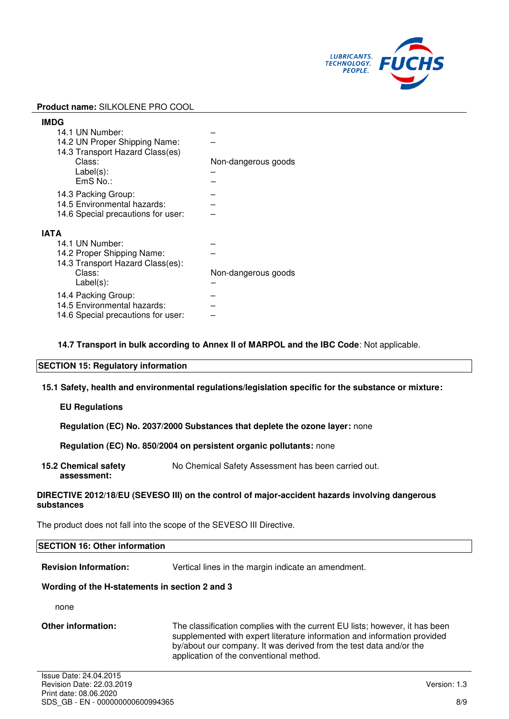

|      | <b>IMDG</b>                        |                     |
|------|------------------------------------|---------------------|
|      | 14.1 UN Number:                    |                     |
|      | 14.2 UN Proper Shipping Name:      |                     |
|      | 14.3 Transport Hazard Class(es)    |                     |
|      | Class:                             | Non-dangerous goods |
|      | $Label(s)$ :                       |                     |
|      | EmS No.:                           |                     |
|      | 14.3 Packing Group:                |                     |
|      | 14.5 Environmental hazards:        |                     |
|      | 14.6 Special precautions for user: |                     |
|      |                                    |                     |
| ΙΑΤΑ |                                    |                     |
|      | 14.1 UN Number:                    |                     |
|      | 14.2 Proper Shipping Name:         |                     |
|      | 14.3 Transport Hazard Class(es):   |                     |
|      | Class:                             | Non-dangerous goods |
|      | $Label(s)$ :                       |                     |
|      | 14.4 Packing Group:                |                     |
|      | 14.5 Environmental hazards:        |                     |
|      | 14.6 Special precautions for user: |                     |
|      |                                    |                     |

**14.7 Transport in bulk according to Annex II of MARPOL and the IBC Code**: Not applicable.

#### **SECTION 15: Regulatory information**

**15.1 Safety, health and environmental regulations/legislation specific for the substance or mixture:**

#### **EU Regulations**

**Regulation (EC) No. 2037/2000 Substances that deplete the ozone layer:** none

**Regulation (EC) No. 850/2004 on persistent organic pollutants:** none

**15.2 Chemical safety assessment:**  No Chemical Safety Assessment has been carried out.

#### **DIRECTIVE 2012/18/EU (SEVESO III) on the control of major-accident hazards involving dangerous substances**

The product does not fall into the scope of the SEVESO III Directive.

# **SECTION 16: Other information**

**Revision Information:** Vertical lines in the margin indicate an amendment.

#### **Wording of the H-statements in section 2 and 3**

none

**Other information:** The classification complies with the current EU lists; however, it has been supplemented with expert literature information and information provided by/about our company. It was derived from the test data and/or the application of the conventional method.